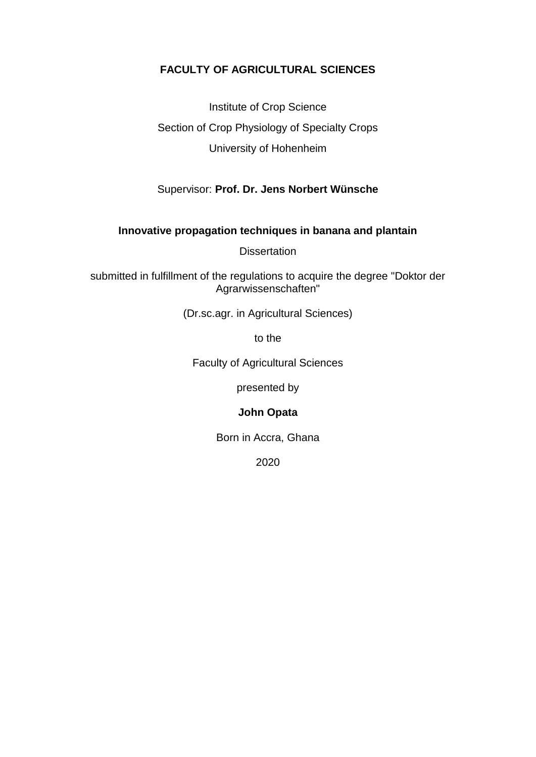# **FACULTY OF AGRICULTURAL SCIENCES**

Institute of Crop Science Section of Crop Physiology of Specialty Crops University of Hohenheim

Supervisor: **Prof. Dr. Jens Norbert Wünsche**

## **Innovative propagation techniques in banana and plantain**

**Dissertation** 

submitted in fulfillment of the regulations to acquire the degree "Doktor der Agrarwissenschaften"

(Dr.sc.agr. in Agricultural Sciences)

to the

Faculty of Agricultural Sciences

presented by

## **John Opata**

Born in Accra, Ghana

2020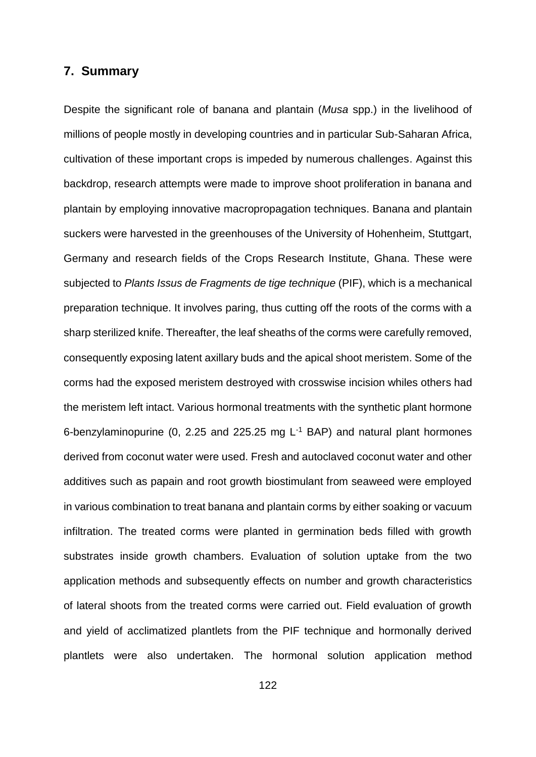## **7. Summary**

Despite the significant role of banana and plantain (*Musa* spp.) in the livelihood of millions of people mostly in developing countries and in particular Sub-Saharan Africa, cultivation of these important crops is impeded by numerous challenges. Against this backdrop, research attempts were made to improve shoot proliferation in banana and plantain by employing innovative macropropagation techniques. Banana and plantain suckers were harvested in the greenhouses of the University of Hohenheim, Stuttgart, Germany and research fields of the Crops Research Institute, Ghana. These were subjected to *Plants Issus de Fragments de tige technique* (PIF), which is a mechanical preparation technique. It involves paring, thus cutting off the roots of the corms with a sharp sterilized knife. Thereafter, the leaf sheaths of the corms were carefully removed, consequently exposing latent axillary buds and the apical shoot meristem. Some of the corms had the exposed meristem destroyed with crosswise incision whiles others had the meristem left intact. Various hormonal treatments with the synthetic plant hormone 6-benzylaminopurine (0, 2.25 and 225.25 mg L-1 BAP) and natural plant hormones derived from coconut water were used. Fresh and autoclaved coconut water and other additives such as papain and root growth biostimulant from seaweed were employed in various combination to treat banana and plantain corms by either soaking or vacuum infiltration. The treated corms were planted in germination beds filled with growth substrates inside growth chambers. Evaluation of solution uptake from the two application methods and subsequently effects on number and growth characteristics of lateral shoots from the treated corms were carried out. Field evaluation of growth and yield of acclimatized plantlets from the PIF technique and hormonally derived plantlets were also undertaken. The hormonal solution application method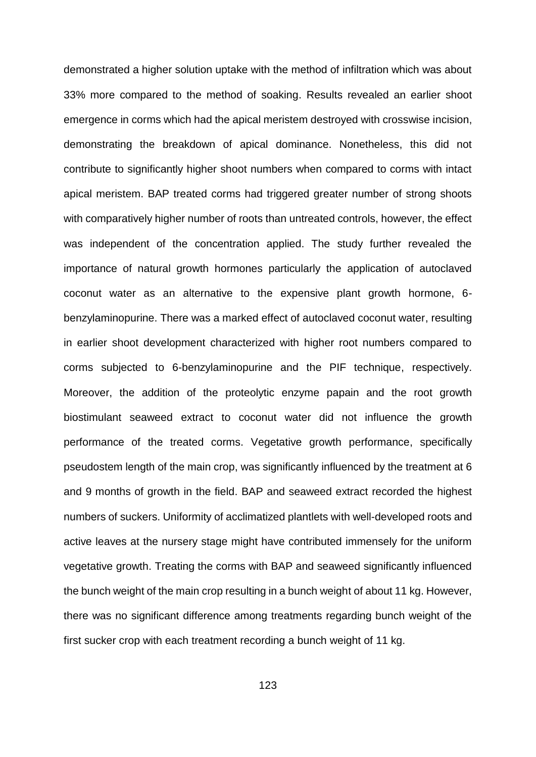demonstrated a higher solution uptake with the method of infiltration which was about 33% more compared to the method of soaking. Results revealed an earlier shoot emergence in corms which had the apical meristem destroyed with crosswise incision, demonstrating the breakdown of apical dominance. Nonetheless, this did not contribute to significantly higher shoot numbers when compared to corms with intact apical meristem. BAP treated corms had triggered greater number of strong shoots with comparatively higher number of roots than untreated controls, however, the effect was independent of the concentration applied. The study further revealed the importance of natural growth hormones particularly the application of autoclaved coconut water as an alternative to the expensive plant growth hormone, 6 benzylaminopurine. There was a marked effect of autoclaved coconut water, resulting in earlier shoot development characterized with higher root numbers compared to corms subjected to 6-benzylaminopurine and the PIF technique, respectively. Moreover, the addition of the proteolytic enzyme papain and the root growth biostimulant seaweed extract to coconut water did not influence the growth performance of the treated corms. Vegetative growth performance, specifically pseudostem length of the main crop, was significantly influenced by the treatment at 6 and 9 months of growth in the field. BAP and seaweed extract recorded the highest numbers of suckers. Uniformity of acclimatized plantlets with well-developed roots and active leaves at the nursery stage might have contributed immensely for the uniform vegetative growth. Treating the corms with BAP and seaweed significantly influenced the bunch weight of the main crop resulting in a bunch weight of about 11 kg. However, there was no significant difference among treatments regarding bunch weight of the first sucker crop with each treatment recording a bunch weight of 11 kg.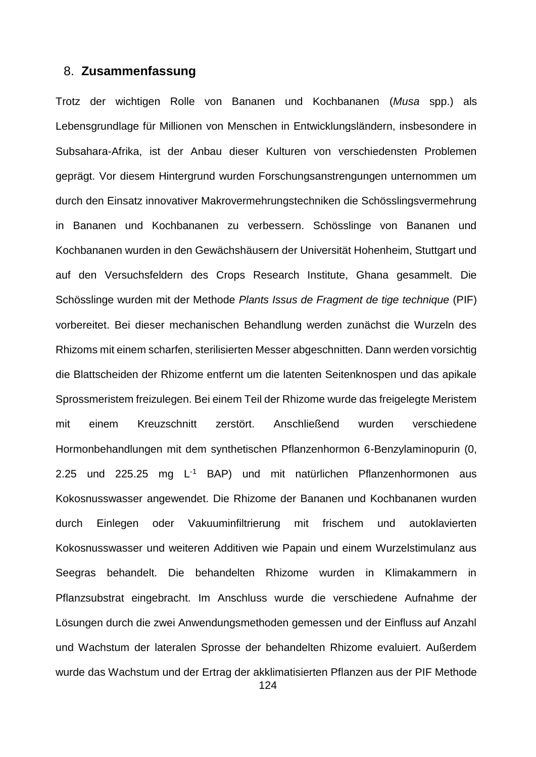### 8. **Zusammenfassung**

Trotz der wichtigen Rolle von Bananen und Kochbananen (*Musa* spp.) als Lebensgrundlage für Millionen von Menschen in Entwicklungsländern, insbesondere in Subsahara-Afrika, ist der Anbau dieser Kulturen von verschiedensten Problemen geprägt. Vor diesem Hintergrund wurden Forschungsanstrengungen unternommen um durch den Einsatz innovativer Makrovermehrungstechniken die Schösslingsvermehrung in Bananen und Kochbananen zu verbessern. Schösslinge von Bananen und Kochbananen wurden in den Gewächshäusern der Universität Hohenheim, Stuttgart und auf den Versuchsfeldern des Crops Research Institute, Ghana gesammelt. Die Schösslinge wurden mit der Methode *Plants Issus de Fragment de tige technique* (PIF) vorbereitet. Bei dieser mechanischen Behandlung werden zunächst die Wurzeln des Rhizoms mit einem scharfen, sterilisierten Messer abgeschnitten. Dann werden vorsichtig die Blattscheiden der Rhizome entfernt um die latenten Seitenknospen und das apikale Sprossmeristem freizulegen. Bei einem Teil der Rhizome wurde das freigelegte Meristem mit einem Kreuzschnitt zerstört. Anschließend wurden verschiedene Hormonbehandlungen mit dem synthetischen Pflanzenhormon 6-Benzylaminopurin (0, 2.25 und 225.25 mg L<sup>-1</sup> BAP) und mit natürlichen Pflanzenhormonen aus Kokosnusswasser angewendet. Die Rhizome der Bananen und Kochbananen wurden durch Einlegen oder Vakuuminfiltrierung mit frischem und autoklavierten Kokosnusswasser und weiteren Additiven wie Papain und einem Wurzelstimulanz aus Seegras behandelt. Die behandelten Rhizome wurden in Klimakammern in Pflanzsubstrat eingebracht. Im Anschluss wurde die verschiedene Aufnahme der Lösungen durch die zwei Anwendungsmethoden gemessen und der Einfluss auf Anzahl und Wachstum der lateralen Sprosse der behandelten Rhizome evaluiert. Außerdem wurde das Wachstum und der Ertrag der akklimatisierten Pflanzen aus der PIF Methode

124